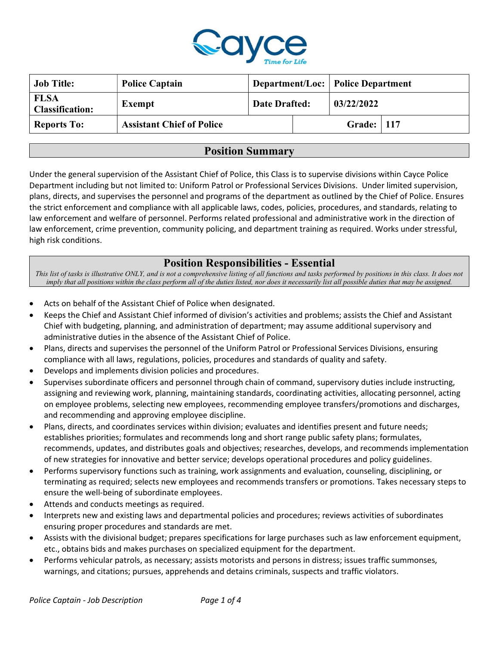

| <b>Job Title:</b>                     | <b>Police Captain</b>            |                      |  | <b>Department/Loc: Police Department</b> |  |
|---------------------------------------|----------------------------------|----------------------|--|------------------------------------------|--|
| <b>FLSA</b><br><b>Classification:</b> | Exempt                           | <b>Date Drafted:</b> |  | 03/22/2022                               |  |
| <b>Reports To:</b>                    | <b>Assistant Chief of Police</b> |                      |  | <b>Grade:</b>   117                      |  |

### Position Summary

Under the general supervision of the Assistant Chief of Police, this Class is to supervise divisions within Cayce Police Department including but not limited to: Uniform Patrol or Professional Services Divisions. Under limited supervision, plans, directs, and supervises the personnel and programs of the department as outlined by the Chief of Police. Ensures the strict enforcement and compliance with all applicable laws, codes, policies, procedures, and standards, relating to law enforcement and welfare of personnel. Performs related professional and administrative work in the direction of law enforcement, crime prevention, community policing, and department training as required. Works under stressful, high risk conditions.

# Position Responsibilities - Essential

This list of tasks is illustrative ONLY, and is not a comprehensive listing of all functions and tasks performed by positions in this class. It does not imply that all positions within the class perform all of the duties listed, nor does it necessarily list all possible duties that may be assigned.

- Acts on behalf of the Assistant Chief of Police when designated.
- Keeps the Chief and Assistant Chief informed of division's activities and problems; assists the Chief and Assistant Chief with budgeting, planning, and administration of department; may assume additional supervisory and administrative duties in the absence of the Assistant Chief of Police.
- Plans, directs and supervises the personnel of the Uniform Patrol or Professional Services Divisions, ensuring compliance with all laws, regulations, policies, procedures and standards of quality and safety.
- Develops and implements division policies and procedures.
- Supervises subordinate officers and personnel through chain of command, supervisory duties include instructing, assigning and reviewing work, planning, maintaining standards, coordinating activities, allocating personnel, acting on employee problems, selecting new employees, recommending employee transfers/promotions and discharges, and recommending and approving employee discipline.
- Plans, directs, and coordinates services within division; evaluates and identifies present and future needs; establishes priorities; formulates and recommends long and short range public safety plans; formulates, recommends, updates, and distributes goals and objectives; researches, develops, and recommends implementation of new strategies for innovative and better service; develops operational procedures and policy guidelines.
- Performs supervisory functions such as training, work assignments and evaluation, counseling, disciplining, or terminating as required; selects new employees and recommends transfers or promotions. Takes necessary steps to ensure the well-being of subordinate employees.
- Attends and conducts meetings as required.
- Interprets new and existing laws and departmental policies and procedures; reviews activities of subordinates ensuring proper procedures and standards are met.
- Assists with the divisional budget; prepares specifications for large purchases such as law enforcement equipment, etc., obtains bids and makes purchases on specialized equipment for the department.
- Performs vehicular patrols, as necessary; assists motorists and persons in distress; issues traffic summonses, warnings, and citations; pursues, apprehends and detains criminals, suspects and traffic violators.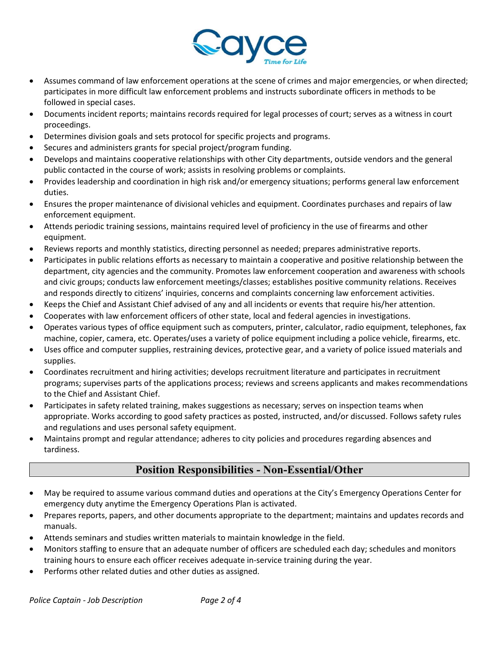

- Assumes command of law enforcement operations at the scene of crimes and major emergencies, or when directed; participates in more difficult law enforcement problems and instructs subordinate officers in methods to be followed in special cases.
- Documents incident reports; maintains records required for legal processes of court; serves as a witness in court proceedings.
- Determines division goals and sets protocol for specific projects and programs.
- Secures and administers grants for special project/program funding.
- Develops and maintains cooperative relationships with other City departments, outside vendors and the general public contacted in the course of work; assists in resolving problems or complaints.
- Provides leadership and coordination in high risk and/or emergency situations; performs general law enforcement duties.
- Ensures the proper maintenance of divisional vehicles and equipment. Coordinates purchases and repairs of law enforcement equipment.
- Attends periodic training sessions, maintains required level of proficiency in the use of firearms and other equipment.
- Reviews reports and monthly statistics, directing personnel as needed; prepares administrative reports.
- Participates in public relations efforts as necessary to maintain a cooperative and positive relationship between the department, city agencies and the community. Promotes law enforcement cooperation and awareness with schools and civic groups; conducts law enforcement meetings/classes; establishes positive community relations. Receives and responds directly to citizens' inquiries, concerns and complaints concerning law enforcement activities.
- Keeps the Chief and Assistant Chief advised of any and all incidents or events that require his/her attention.
- Cooperates with law enforcement officers of other state, local and federal agencies in investigations.
- Operates various types of office equipment such as computers, printer, calculator, radio equipment, telephones, fax machine, copier, camera, etc. Operates/uses a variety of police equipment including a police vehicle, firearms, etc.
- Uses office and computer supplies, restraining devices, protective gear, and a variety of police issued materials and supplies.
- Coordinates recruitment and hiring activities; develops recruitment literature and participates in recruitment programs; supervises parts of the applications process; reviews and screens applicants and makes recommendations to the Chief and Assistant Chief.
- Participates in safety related training, makes suggestions as necessary; serves on inspection teams when appropriate. Works according to good safety practices as posted, instructed, and/or discussed. Follows safety rules and regulations and uses personal safety equipment.
- Maintains prompt and regular attendance; adheres to city policies and procedures regarding absences and tardiness.

# Position Responsibilities - Non-Essential/Other

- May be required to assume various command duties and operations at the City's Emergency Operations Center for emergency duty anytime the Emergency Operations Plan is activated.
- Prepares reports, papers, and other documents appropriate to the department; maintains and updates records and manuals.
- Attends seminars and studies written materials to maintain knowledge in the field.
- Monitors staffing to ensure that an adequate number of officers are scheduled each day; schedules and monitors training hours to ensure each officer receives adequate in-service training during the year.
- Performs other related duties and other duties as assigned.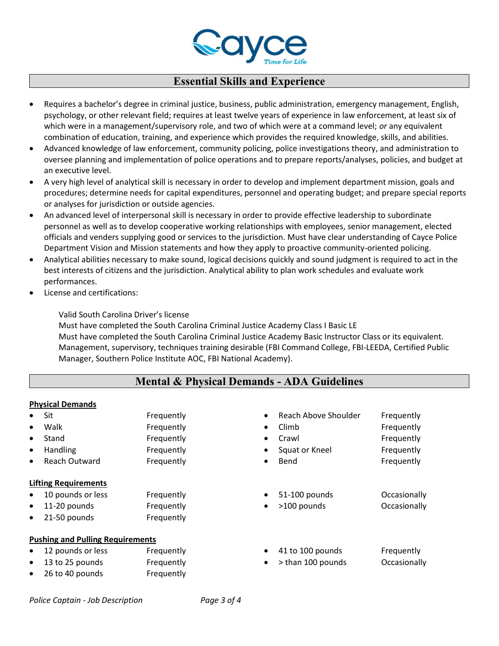

### Essential Skills and Experience

- Requires a bachelor's degree in criminal justice, business, public administration, emergency management, English, psychology, or other relevant field; requires at least twelve years of experience in law enforcement, at least six of which were in a management/supervisory role, and two of which were at a command level; or any equivalent combination of education, training, and experience which provides the required knowledge, skills, and abilities.
- Advanced knowledge of law enforcement, community policing, police investigations theory, and administration to oversee planning and implementation of police operations and to prepare reports/analyses, policies, and budget at an executive level.
- A very high level of analytical skill is necessary in order to develop and implement department mission, goals and procedures; determine needs for capital expenditures, personnel and operating budget; and prepare special reports or analyses for jurisdiction or outside agencies.
- An advanced level of interpersonal skill is necessary in order to provide effective leadership to subordinate personnel as well as to develop cooperative working relationships with employees, senior management, elected officials and venders supplying good or services to the jurisdiction. Must have clear understanding of Cayce Police Department Vision and Mission statements and how they apply to proactive community-oriented policing.
- Analytical abilities necessary to make sound, logical decisions quickly and sound judgment is required to act in the best interests of citizens and the jurisdiction. Analytical ability to plan work schedules and evaluate work performances.
- License and certifications:

Valid South Carolina Driver's license

Must have completed the South Carolina Criminal Justice Academy Class I Basic LE Must have completed the South Carolina Criminal Justice Academy Basic Instructor Class or its equivalent. Management, supervisory, techniques training desirable (FBI Command College, FBI-LEEDA, Certified Public Manager, Southern Police Institute AOC, FBI National Academy).

# Mental & Physical Demands - ADA Guidelines

#### Physical Demands

| $\bullet$ | Sit                                     | Frequently | $\bullet$ | Reach Above Shoulder | Frequently   |
|-----------|-----------------------------------------|------------|-----------|----------------------|--------------|
| $\bullet$ | Walk                                    | Frequently | $\bullet$ | Climb                | Frequently   |
| $\bullet$ | Stand                                   | Frequently | $\bullet$ | Crawl                | Frequently   |
| $\bullet$ | Handling                                | Frequently | $\bullet$ | Squat or Kneel       | Frequently   |
| $\bullet$ | <b>Reach Outward</b>                    | Frequently | $\bullet$ | Bend                 | Frequently   |
|           | <b>Lifting Requirements</b>             |            |           |                      |              |
| $\bullet$ | 10 pounds or less                       | Frequently | $\bullet$ | 51-100 pounds        | Occasionally |
| $\bullet$ | 11-20 pounds                            | Frequently | $\bullet$ | >100 pounds          | Occasionally |
| $\bullet$ | 21-50 pounds                            | Frequently |           |                      |              |
|           | <b>Pushing and Pulling Requirements</b> |            |           |                      |              |
| $\bullet$ | 12 pounds or less                       | Frequently | ٠         | 41 to 100 pounds     | Frequently   |
| $\bullet$ | 13 to 25 pounds                         | Frequently | $\bullet$ | > than 100 pounds    | Occasionally |
| $\bullet$ | 26 to 40 pounds                         | Frequently |           |                      |              |